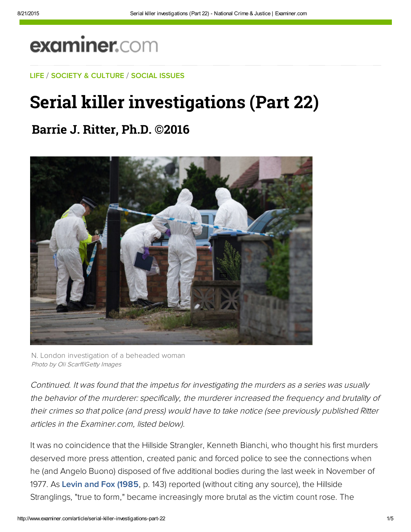# examiner.com

LIFE / SOCIETY & CULTURE / SOCIAL ISSUES

## Serial killer inv**e**stigations (Part 22)

### **Barrie J. Ritter, Ph.D. ©2016**



N. London investigation of a beheaded woman Photo by Oli Scarff/Getty Images

Continued. It was found that the impetus for investigating the murders as a series was usually the behavior of the murderer: specifically, the murderer increased the frequency and brutality of their crimes so that police (and press) would have to take notice (see previously published Ritter articles in the Examiner.com, listed below).

It was no coincidence that the Hillside Strangler, Kenneth Bianchi, who thought his first murders deserved more press attention, created panic and forced police to see the connections when he (and Angelo Buono) disposed of five additional bodies during the last week in November of 1977. As [Levin and Fox \(1985,](http://jacklevinonviolence.com/articles/Normalcyofserialmurder.pdf) p. 143) reported (without citing any source), the Hillside Stranglings, "true to form," became increasingly more brutal as the victim count rose. The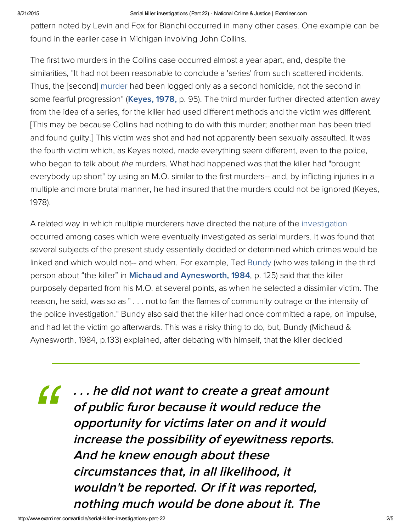#### 8/21/2015 Serial killer investigations (Part 22) National Crime & Justice | Examiner.com

pattern noted by Levin and Fox for Bianchi occurred in many other cases. One example can be found in the earlier case in Michigan involving John Collins.

The first two murders in the Collins case occurred almost a year apart, and, despite the similarities, "It had not been reasonable to conclude a 'series' from such scattered incidents. Thus, the [second] murder had been logged only as a second homicide, not the second in some fearful progression" ([Keyes,](http://bit.ly/1p6udaA) 1978, p. 95). The third murder further directed attention away from the idea of a series, for the killer had used different methods and the victim was different. [This may be because Collins had nothing to do with this murder; another man has been tried and found guilty.] This victim was shot and had not apparently been sexually assaulted. It was the fourth victim which, as Keyes noted, made everything seem different, even to the police, who began to talk about the murders. What had happened was that the killer had "brought everybody up short" by using an M.O. similar to the first murders-- and, by inflicting injuries in a multiple and more brutal manner, he had insured that the murders could not be ignored (Keyes, 1978).

A related way in which multiple murderers have directed the nature of the investigation occurred among cases which were eventually investigated as serial murders. It was found that several subjects of the present study essentially decided or determined which crimes would be linked and which would not-- and when. For example, Ted [Bundy](https://en.wikipedia.org/wiki/Ted_Bundy) (who was talking in the third person about "the killer" in Michaud and [Aynesworth,](http://bit.ly/1oavTjn) 1984, p. 125) said that the killer purposely departed from his M.O. at several points, as when he selected a dissimilar victim. The reason, he said, was so as " . . . not to fan the flames of community outrage or the intensity of the police investigation." Bundy also said that the killer had once committed a rape, on impulse, and had let the victim go afterwards. This was a risky thing to do, but, Bundy (Michaud & Aynesworth, 1984, p.133) explained, after debating with himself, that the killer decided

. . . he did not want to create <sup>a</sup> great amount of public furor because it would reduce the opportunity for victims later on and it would increase the possibility of eyewitness reports. And he knew enough about these circumstances that, in all likelihood, it wouldn't be reported. Or if it was reported, nothing much would be done about it. The *"*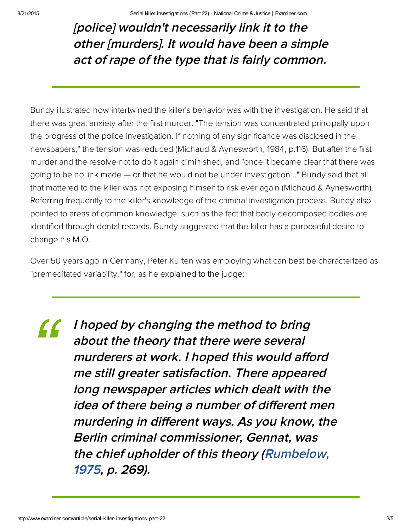## [police] wouldn't necessarily link it to the other [murders]. It would have been <sup>a</sup> simple act of rape of the type that is fairly common.

Bundy illustrated how intertwined the killer's behavior was with the investigation. He said that there was great anxiety after the first murder. "The tension was concentrated principally upon the progress of the police investigation. If nothing of any significance was disclosed in the newspapers," the tension was reduced (Michaud & Aynesworth, 1984, p.116). But after the first murder and the resolve not to do it again diminished, and "once it became clear that there was going to be no link made — or that he would not be under investigation..." Bundy said that all that mattered to the killer was not exposing himself to risk ever again (Michaud & Aynesworth). Referring frequently to the killer's knowledge of the criminal investigation process, Bundy also pointed to areas of common knowledge, such as the fact that badly decomposed bodies are identified through dental records. Bundy suggested that the killer has a purposeful desire to change his M.O.

Over 50 years ago in Germany, Peter Kurten was employing what can best be characterized as "premeditated variability," for, as he explained to the judge:

I hoped by changing the method to bring about the theory that there were several murderers at work. I hoped this would afford me still greater satisfaction. There appeared long newspaper articles which dealt with the idea of there being <sup>a</sup> number of different men murdering in different ways. As you know, the Berlin criminal commissioner, Gennat, was the chief upholder of this theory [\(Rumbelow,](https://www.amazon.com/Complete-Jack-Ripper-1975/dp/B00CAW6LOA) 1975, p. 269). *"*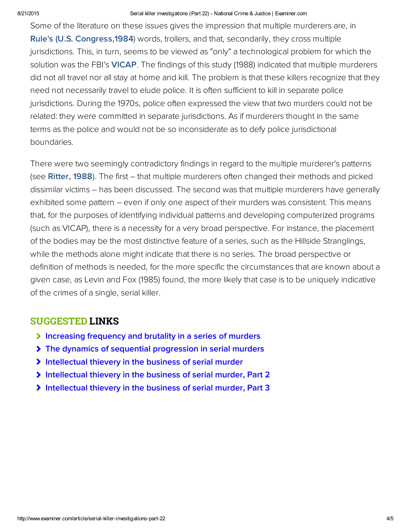#### 8/21/2015 Serial killer investigations (Part 22) National Crime & Justice | Examiner.com

Some of the literature on these issues gives the impression that multiple murderers are, in Rule's (U.S. Congress, 1984) words, trollers, and that, secondarily, they cross multiple jurisdictions. This, in turn, seems to be viewed as "only" a technological problem for which the solution was the FBI's [VICAP.](http://bit.ly/1vWYT2H) The findings of this study (1988) indicated that multiple murderers did not all travel nor all stay at home and kill. The problem is that these killers recognize that they need not necessarily travel to elude police. It is often sufficient to kill in separate police jurisdictions. During the 1970s, police often expressed the view that two murders could not be related: they were committed in separate jurisdictions. As if murderers thought in the same terms as the police and would not be so inconsiderate as to defy police jurisdictional boundaries.

There were two seemingly contradictory findings in regard to the multiple murderer's patterns (see [Ritter, 1988\)](http://www.ritterhomicideresearch.com/articles/Barrie_J_Ritter_dissertation_copyright-1988.pdf). The first – that multiple murderers often changed their methods and picked dissimilar victims – has been discussed. The second was that multiple murderers have generally exhibited some pattern – even if only one aspect of their murders was consistent. This means that, for the purposes of identifying individual patterns and developing computerized programs (such as VICAP), there is a necessity for a very broad perspective. For instance, the placement of the bodies may be the most distinctive feature of a series, such as the Hillside Stranglings, while the methods alone might indicate that there is no series. The broad perspective or definition of methods is needed, for the more specific the circumstances that are known about a given case, as Levin and Fox (1985) found, the more likely that case is to be uniquely indicative of the crimes of a single, serial killer.

### SUGGESTED LINKS

- [Increasing frequency and brutality in a series of murders](http://www.ritterhomicideresearch.com/articles/Increasing-frequency-and-brutality-in-a-series-of-murders.pdf)
- [The dynamics of sequential progression in serial murders](http://www.ritterhomicideresearch.com/articles/The-dynamics-of-sequential-progression-in-serial-murders.pdf)
- [Intellectual thievery in the business of serial murder](http://www.ritterhomicideresearch.com/articles/Intellectual-thievery-in-the-business-of-serial-murder.pdf)
- [Intellectual thievery in the business of serial murder, Part 2](http://www.ritterhomicideresearch.com/articles/Intellectual-thievery-in-the-business-of-serial-murder_Part-2.pdf)
- [Intellectual thievery in the business of serial murder, Part 3](http://www.ritterhomicideresearch.com/articles/Intellectual-thievery-in-the-business-of-serial-murder_Part-3.pdf)